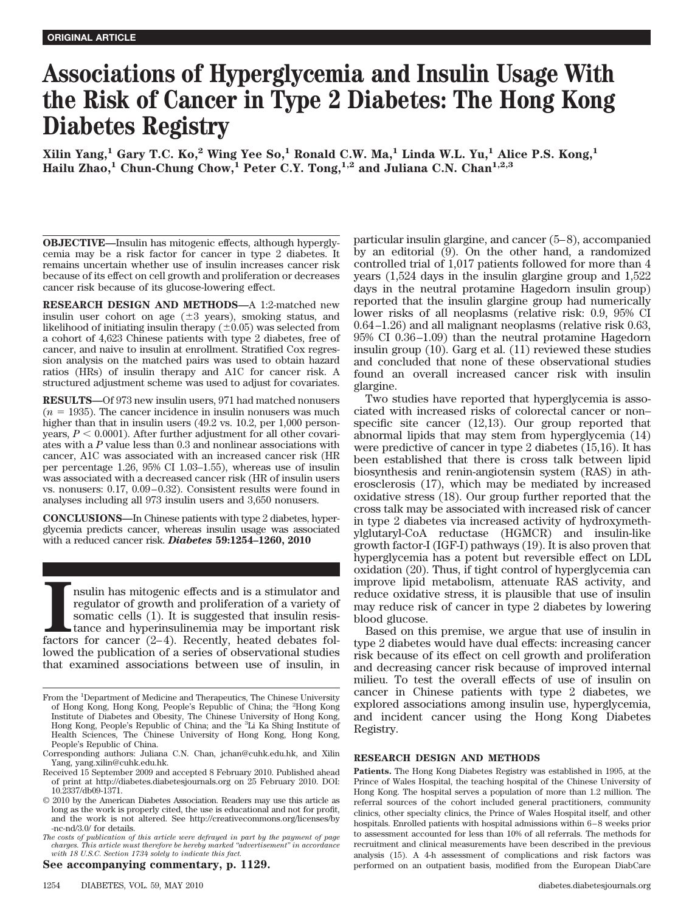# **Associations of Hyperglycemia and Insulin Usage With the Risk of Cancer in Type 2 Diabetes: The Hong Kong Diabetes Registry**

**Xilin Yang,1 Gary T.C. Ko,2 Wing Yee So,1 Ronald C.W. Ma,1 Linda W.L. Yu,1 Alice P.S. Kong,1** Hailu Zhao,<sup>1</sup> Chun-Chung Chow,<sup>1</sup> Peter C.Y. Tong,<sup>1,2</sup> and Juliana C.N. Chan<sup>1,2,3</sup>

**OBJECTIVE—**Insulin has mitogenic effects, although hyperglycemia may be a risk factor for cancer in type 2 diabetes. It remains uncertain whether use of insulin increases cancer risk because of its effect on cell growth and proliferation or decreases cancer risk because of its glucose-lowering effect.

**RESEARCH DESIGN AND METHODS—**A 1:2-matched new insulin user cohort on age  $(\pm 3 \text{ years})$ , smoking status, and likelihood of initiating insulin therapy  $(\pm 0.05)$  was selected from a cohort of 4,623 Chinese patients with type 2 diabetes, free of cancer, and naive to insulin at enrollment. Stratified Cox regression analysis on the matched pairs was used to obtain hazard ratios (HRs) of insulin therapy and A1C for cancer risk. A structured adjustment scheme was used to adjust for covariates.

**RESULTS—**Of 973 new insulin users, 971 had matched nonusers  $(n = 1935)$ . The cancer incidence in insulin nonusers was much higher than that in insulin users (49.2 vs. 10.2, per 1,000 personyears,  $P < 0.0001$ ). After further adjustment for all other covariates with a *P* value less than 0.3 and nonlinear associations with cancer, A1C was associated with an increased cancer risk (HR per percentage 1.26, 95% CI 1.03–1.55), whereas use of insulin was associated with a decreased cancer risk (HR of insulin users vs. nonusers: 0.17, 0.09 – 0.32). Consistent results were found in analyses including all 973 insulin users and 3,650 nonusers.

**CONCLUSIONS—**In Chinese patients with type 2 diabetes, hyperglycemia predicts cancer, whereas insulin usage was associated with a reduced cancer risk. *Diabetes* **59:1254–1260, 2010**

**I** factors for cancer (2–4). Recently, heated debates following factors for cancer (2–4). Recently, heated debates folnsulin has mitogenic effects and is a stimulator and regulator of growth and proliferation of a variety of somatic cells (1). It is suggested that insulin resistance and hyperinsulinemia may be important risk lowed the publication of a series of observational studies that examined associations between use of insulin, in

**See accompanying commentary, p. 1129.**

particular insulin glargine, and cancer (5– 8), accompanied by an editorial (9). On the other hand, a randomized controlled trial of 1,017 patients followed for more than 4 years (1,524 days in the insulin glargine group and 1,522 days in the neutral protamine Hagedorn insulin group) reported that the insulin glargine group had numerically lower risks of all neoplasms (relative risk: 0.9, 95% CI 0.64 –1.26) and all malignant neoplasms (relative risk 0.63, 95% CI 0.36 –1.09) than the neutral protamine Hagedorn insulin group (10). Garg et al. (11) reviewed these studies and concluded that none of these observational studies found an overall increased cancer risk with insulin glargine.

Two studies have reported that hyperglycemia is associated with increased risks of colorectal cancer or non– specific site cancer (12,13). Our group reported that abnormal lipids that may stem from hyperglycemia (14) were predictive of cancer in type 2 diabetes (15,16). It has been established that there is cross talk between lipid biosynthesis and renin-angiotensin system (RAS) in atherosclerosis (17), which may be mediated by increased oxidative stress (18). Our group further reported that the cross talk may be associated with increased risk of cancer in type 2 diabetes via increased activity of hydroxymethylglutaryl-CoA reductase (HGMCR) and insulin-like growth factor-I (IGF-I) pathways (19). It is also proven that hyperglycemia has a potent but reversible effect on LDL oxidation (20). Thus, if tight control of hyperglycemia can improve lipid metabolism, attenuate RAS activity, and reduce oxidative stress, it is plausible that use of insulin may reduce risk of cancer in type 2 diabetes by lowering blood glucose.

Based on this premise, we argue that use of insulin in type 2 diabetes would have dual effects: increasing cancer risk because of its effect on cell growth and proliferation and decreasing cancer risk because of improved internal milieu. To test the overall effects of use of insulin on cancer in Chinese patients with type 2 diabetes, we explored associations among insulin use, hyperglycemia, and incident cancer using the Hong Kong Diabetes Registry.

# **RESEARCH DESIGN AND METHODS**

**Patients.** The Hong Kong Diabetes Registry was established in 1995, at the Prince of Wales Hospital, the teaching hospital of the Chinese University of Hong Kong. The hospital serves a population of more than 1.2 million. The referral sources of the cohort included general practitioners, community clinics, other specialty clinics, the Prince of Wales Hospital itself, and other hospitals. Enrolled patients with hospital admissions within 6-8 weeks prior to assessment accounted for less than 10% of all referrals. The methods for recruitment and clinical measurements have been described in the previous analysis (15). A 4-h assessment of complications and risk factors was performed on an outpatient basis, modified from the European DiabCare

From the <sup>1</sup>Department of Medicine and Therapeutics, The Chinese University of Hong Kong, Hong Kong, People's Republic of China; the <sup>2</sup> Hong Kong Institute of Diabetes and Obesity, The Chinese University of Hong Kong, Hong Kong, People's Republic of China; and the <sup>3</sup>Li Ka Shing Institute of Health Sciences, The Chinese University of Hong Kong, Hong Kong, People's Republic of China.

Corresponding authors: Juliana C.N. Chan, jchan@cuhk.edu.hk, and Xilin Yang, yang.xilin@cuhk.edu.hk.

Received 15 September 2009 and accepted 8 February 2010. Published ahead of print at http://diabetes.diabetesjournals.org on 25 February 2010. DOI: 10.2337/db09-1371.

<sup>© 2010</sup> by the American Diabetes Association. Readers may use this article as long as the work is properly cited, the use is educational and not for profit, and the work is not altered. See http://creativecommons.org/licenses/by -nc-nd/3.0/ for details.

*The costs of publication of this article were defrayed in part by the payment of page charges. This article must therefore be hereby marked "advertisement" in accordance with 18 U.S.C. Section 1734 solely to indicate this fact.*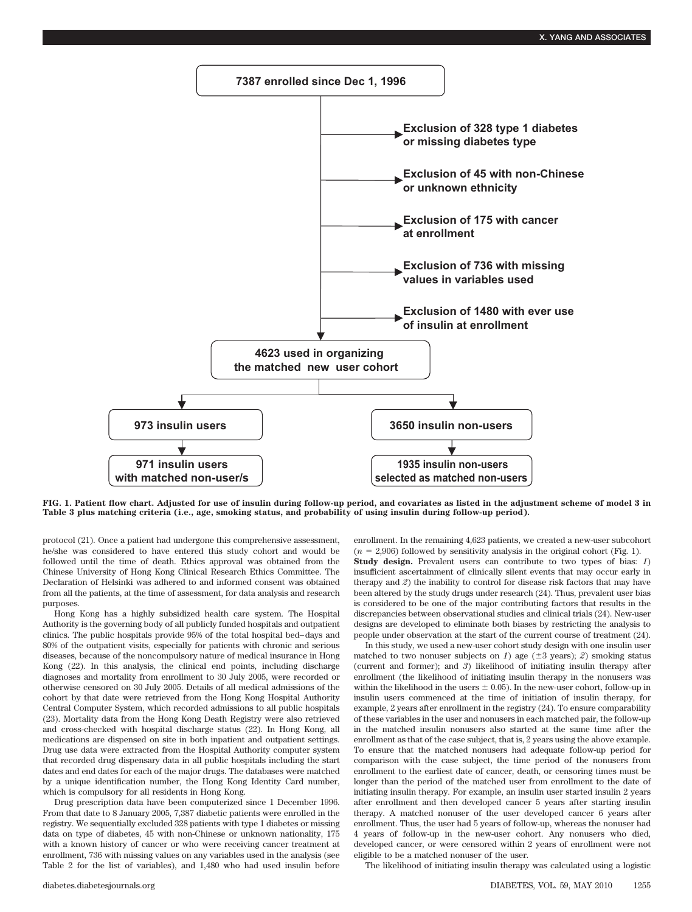

**FIG. 1. Patient flow chart. Adjusted for use of insulin during follow-up period, and covariates as listed in the adjustment scheme of model 3 in Table 3 plus matching criteria (i.e., age, smoking status, and probability of using insulin during follow-up period).**

protocol (21). Once a patient had undergone this comprehensive assessment, he/she was considered to have entered this study cohort and would be followed until the time of death. Ethics approval was obtained from the Chinese University of Hong Kong Clinical Research Ethics Committee. The Declaration of Helsinki was adhered to and informed consent was obtained from all the patients, at the time of assessment, for data analysis and research purposes.

Hong Kong has a highly subsidized health care system. The Hospital Authority is the governing body of all publicly funded hospitals and outpatient clinics. The public hospitals provide 95% of the total hospital bed– days and 80% of the outpatient visits, especially for patients with chronic and serious diseases, because of the noncompulsory nature of medical insurance in Hong Kong (22). In this analysis, the clinical end points, including discharge diagnoses and mortality from enrollment to 30 July 2005, were recorded or otherwise censored on 30 July 2005. Details of all medical admissions of the cohort by that date were retrieved from the Hong Kong Hospital Authority Central Computer System, which recorded admissions to all public hospitals (23). Mortality data from the Hong Kong Death Registry were also retrieved and cross-checked with hospital discharge status (22). In Hong Kong, all medications are dispensed on site in both inpatient and outpatient settings. Drug use data were extracted from the Hospital Authority computer system that recorded drug dispensary data in all public hospitals including the start dates and end dates for each of the major drugs. The databases were matched by a unique identification number, the Hong Kong Identity Card number, which is compulsory for all residents in Hong Kong.

Drug prescription data have been computerized since 1 December 1996. From that date to 8 January 2005, 7,387 diabetic patients were enrolled in the registry. We sequentially excluded 328 patients with type 1 diabetes or missing data on type of diabetes, 45 with non-Chinese or unknown nationality, 175 with a known history of cancer or who were receiving cancer treatment at enrollment, 736 with missing values on any variables used in the analysis (see Table 2 for the list of variables), and 1,480 who had used insulin before enrollment. In the remaining 4,623 patients, we created a new-user subcohort  $(n = 2,906)$  followed by sensitivity analysis in the original cohort (Fig. 1). **Study design.** Prevalent users can contribute to two types of bias: *1*) insufficient ascertainment of clinically silent events that may occur early in therapy and *2*) the inability to control for disease risk factors that may have been altered by the study drugs under research (24). Thus, prevalent user bias is considered to be one of the major contributing factors that results in the discrepancies between observational studies and clinical trials (24). New-user designs are developed to eliminate both biases by restricting the analysis to people under observation at the start of the current course of treatment (24).

In this study, we used a new-user cohort study design with one insulin user matched to two nonuser subjects on *1*) age ( $\pm 3$  years); *2*) smoking status (current and former); and *3*) likelihood of initiating insulin therapy after enrollment (the likelihood of initiating insulin therapy in the nonusers was within the likelihood in the users  $\pm$  0.05). In the new-user cohort, follow-up in insulin users commenced at the time of initiation of insulin therapy, for example, 2 years after enrollment in the registry (24). To ensure comparability of these variables in the user and nonusers in each matched pair, the follow-up in the matched insulin nonusers also started at the same time after the enrollment as that of the case subject, that is, 2 years using the above example. To ensure that the matched nonusers had adequate follow-up period for comparison with the case subject, the time period of the nonusers from enrollment to the earliest date of cancer, death, or censoring times must be longer than the period of the matched user from enrollment to the date of initiating insulin therapy. For example, an insulin user started insulin 2 years after enrollment and then developed cancer 5 years after starting insulin therapy. A matched nonuser of the user developed cancer 6 years after enrollment. Thus, the user had 5 years of follow-up, whereas the nonuser had 4 years of follow-up in the new-user cohort. Any nonusers who died, developed cancer, or were censored within 2 years of enrollment were not eligible to be a matched nonuser of the user.

The likelihood of initiating insulin therapy was calculated using a logistic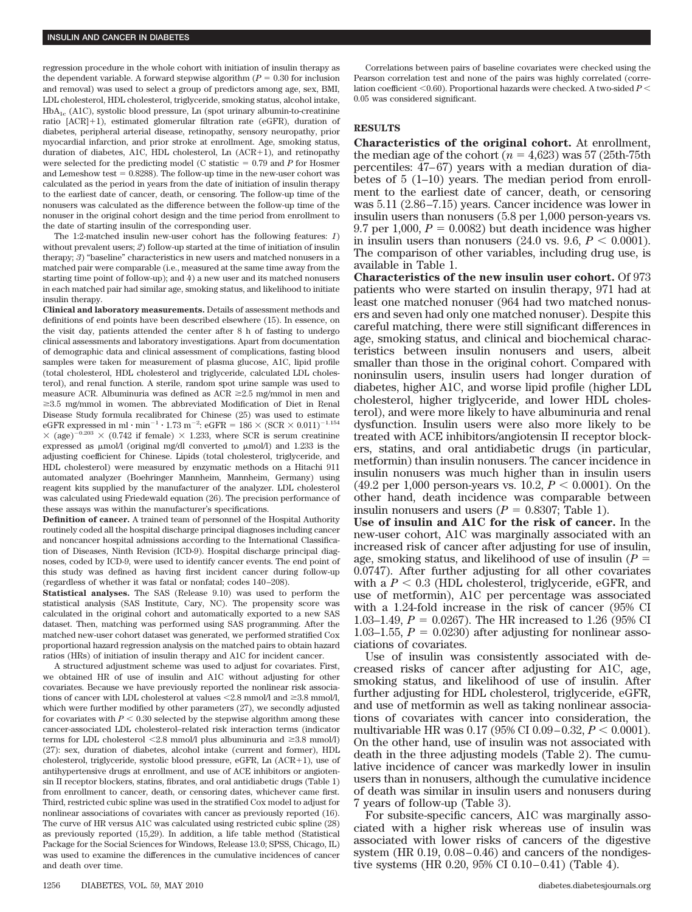regression procedure in the whole cohort with initiation of insulin therapy as the dependent variable. A forward stepwise algorithm  $(P = 0.30$  for inclusion and removal) was used to select a group of predictors among age, sex, BMI, LDL cholesterol, HDL cholesterol, triglyceride, smoking status, alcohol intake,  $HbA_{1c}$  (A1C), systolic blood pressure, Ln (spot urinary albumin-to-creatinine ratio [ACR]+1), estimated glomerular filtration rate (eGFR), duration of diabetes, peripheral arterial disease, retinopathy, sensory neuropathy, prior myocardial infarction, and prior stroke at enrollment. Age, smoking status, duration of diabetes, A1C, HDL cholesterol, Ln  $(ACR+1)$ , and retinopathy were selected for the predicting model (C statistic  $= 0.79$  and  $P$  for Hosmer and Lemeshow test  $= 0.8288$ ). The follow-up time in the new-user cohort was calculated as the period in years from the date of initiation of insulin therapy to the earliest date of cancer, death, or censoring. The follow-up time of the nonusers was calculated as the difference between the follow-up time of the nonuser in the original cohort design and the time period from enrollment to the date of starting insulin of the corresponding user.

The 1:2-matched insulin new-user cohort has the following features: *1*) without prevalent users; 2) follow-up started at the time of initiation of insulin therapy; *3*) "baseline" characteristics in new users and matched nonusers in a matched pair were comparable (i.e., measured at the same time away from the starting time point of follow-up); and *4*) a new user and its matched nonusers in each matched pair had similar age, smoking status, and likelihood to initiate insulin therapy.

**Clinical and laboratory measurements.** Details of assessment methods and definitions of end points have been described elsewhere (15). In essence, on the visit day, patients attended the center after 8 h of fasting to undergo clinical assessments and laboratory investigations. Apart from documentation of demographic data and clinical assessment of complications, fasting blood samples were taken for measurement of plasma glucose, A1C, lipid profile (total cholesterol, HDL cholesterol and triglyceride, calculated LDL cholesterol), and renal function. A sterile, random spot urine sample was used to measure ACR. Albuminuria was defined as  $ACR \ge 2.5$  mg/mmol in men and  $\geq$ 3.5 mg/mmol in women. The abbreviated Modification of Diet in Renal Disease Study formula recalibrated for Chinese (25) was used to estimate eGFR expressed in ml  $\cdot$  min<sup>-1</sup>  $\cdot$  1.73 m<sup>-2</sup>: eGFR = 186  $\times$  (SCR  $\times$  0.011)<sup>-1.154</sup>  $\times$  (age)<sup>-0.203</sup>  $\times$  (0.742 if female)  $\times$  1.233, where SCR is serum creatinine expressed as  $\mu$ mol/l (original mg/dl converted to  $\mu$ mol/l) and 1.233 is the adjusting coefficient for Chinese. Lipids (total cholesterol, triglyceride, and HDL cholesterol) were measured by enzymatic methods on a Hitachi 911 automated analyzer (Boehringer Mannheim, Mannheim, Germany) using reagent kits supplied by the manufacturer of the analyzer. LDL cholesterol was calculated using Friedewald equation (26). The precision performance of these assays was within the manufacturer's specifications.

**Definition of cancer.** A trained team of personnel of the Hospital Authority routinely coded all the hospital discharge principal diagnoses including cancer and noncancer hospital admissions according to the International Classification of Diseases, Ninth Revision (ICD-9). Hospital discharge principal diagnoses, coded by ICD-9, were used to identify cancer events. The end point of this study was defined as having first incident cancer during follow-up (regardless of whether it was fatal or nonfatal; codes 140 –208).

**Statistical analyses.** The SAS (Release 9.10) was used to perform the statistical analysis (SAS Institute, Cary, NC). The propensity score was calculated in the original cohort and automatically exported to a new SAS dataset. Then, matching was performed using SAS programming. After the matched new-user cohort dataset was generated, we performed stratified Cox proportional hazard regression analysis on the matched pairs to obtain hazard ratios (HRs) of initiation of insulin therapy and A1C for incident cancer.

A structured adjustment scheme was used to adjust for covariates. First, we obtained HR of use of insulin and A1C without adjusting for other covariates. Because we have previously reported the nonlinear risk associations of cancer with LDL cholesterol at values  $\leq 2.8$  mmol/l and  $\geq 3.8$  mmol/l, which were further modified by other parameters (27), we secondly adjusted for covariates with  $P < 0.30$  selected by the stepwise algorithm among these cancer-associated LDL cholesterol–related risk interaction terms (indicator terms for LDL cholesterol  $\leq 2.8$  mmol/l plus albuminuria and  $\geq 3.8$  mmol/l) (27): sex, duration of diabetes, alcohol intake (current and former), HDL cholesterol, triglyceride, systolic blood pressure, eGFR, Ln  $(ACR+1)$ , use of antihypertensive drugs at enrollment, and use of ACE inhibitors or angiotensin II receptor blockers, statins, fibrates, and oral antidiabetic drugs (Table 1) from enrollment to cancer, death, or censoring dates, whichever came first. Third, restricted cubic spline was used in the stratified Cox model to adjust for nonlinear associations of covariates with cancer as previously reported (16). The curve of HR versus A1C was calculated using restricted cubic spline (28) as previously reported (15,29). In addition, a life table method (Statistical Package for the Social Sciences for Windows, Release 13.0; SPSS, Chicago, IL) was used to examine the differences in the cumulative incidences of cancer and death over time.

Correlations between pairs of baseline covariates were checked using the Pearson correlation test and none of the pairs was highly correlated (correlation coefficient  $\leq 0.60$ ). Proportional hazards were checked. A two-sided  $P \leq$ 0.05 was considered significant.

# **RESULTS**

**Characteristics of the original cohort.** At enrollment, the median age of the cohort  $(n = 4,623)$  was 57 (25th-75th percentiles: 47– 67) years with a median duration of diabetes of 5 (1–10) years. The median period from enrollment to the earliest date of cancer, death, or censoring was 5.11 (2.86 –7.15) years. Cancer incidence was lower in insulin users than nonusers (5.8 per 1,000 person-years vs.  $9.7$  per  $1,000$ ,  $P = 0.0082$ ) but death incidence was higher in insulin users than nonusers  $(24.0 \text{ vs. } 9.6, P < 0.0001)$ . The comparison of other variables, including drug use, is available in Table 1.

**Characteristics of the new insulin user cohort.** Of 973 patients who were started on insulin therapy, 971 had at least one matched nonuser (964 had two matched nonusers and seven had only one matched nonuser). Despite this careful matching, there were still significant differences in age, smoking status, and clinical and biochemical characteristics between insulin nonusers and users, albeit smaller than those in the original cohort. Compared with noninsulin users, insulin users had longer duration of diabetes, higher A1C, and worse lipid profile (higher LDL cholesterol, higher triglyceride, and lower HDL cholesterol), and were more likely to have albuminuria and renal dysfunction. Insulin users were also more likely to be treated with ACE inhibitors/angiotensin II receptor blockers, statins, and oral antidiabetic drugs (in particular, metformin) than insulin nonusers. The cancer incidence in insulin nonusers was much higher than in insulin users  $(49.2 \text{ per } 1,000 \text{ person-years vs. } 10.2, P < 0.0001)$ . On the other hand, death incidence was comparable between insulin nonusers and users  $(P = 0.8307;$  Table 1).

**Use of insulin and A1C for the risk of cancer.** In the new-user cohort, A1C was marginally associated with an increased risk of cancer after adjusting for use of insulin, age, smoking status, and likelihood of use of insulin  $(P =$ 0.0747). After further adjusting for all other covariates with a  $P < 0.3$  (HDL cholesterol, triglyceride, eGFR, and use of metformin), A1C per percentage was associated with a 1.24-fold increase in the risk of cancer (95% CI 1.03–1.49,  $P = 0.0267$ . The HR increased to 1.26 (95% CI 1.03–1.55,  $P = 0.0230$ ) after adjusting for nonlinear associations of covariates.

Use of insulin was consistently associated with decreased risks of cancer after adjusting for A1C, age, smoking status, and likelihood of use of insulin. After further adjusting for HDL cholesterol, triglyceride, eGFR, and use of metformin as well as taking nonlinear associations of covariates with cancer into consideration, the multivariable HR was  $0.17$  (95% CI  $0.09-0.32$ ,  $P < 0.0001$ ). On the other hand, use of insulin was not associated with death in the three adjusting models (Table 2). The cumulative incidence of cancer was markedly lower in insulin users than in nonusers, although the cumulative incidence of death was similar in insulin users and nonusers during 7 years of follow-up (Table 3).

For subsite-specific cancers, A1C was marginally associated with a higher risk whereas use of insulin was associated with lower risks of cancers of the digestive system (HR  $0.19$ ,  $0.08-0.46$ ) and cancers of the nondigestive systems (HR 0.20, 95% CI 0.10 $-0.41$ ) (Table 4).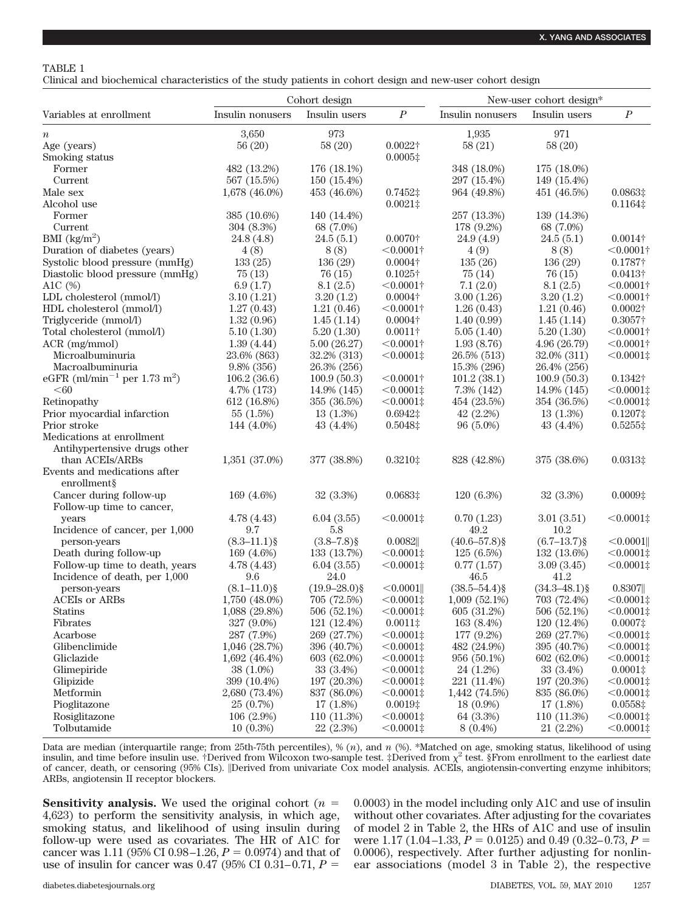## TABLE 1

Clinical and biochemical characteristics of the study patients in cohort design and new-user cohort design

|                                                      | Cohort design    |                   |                              | New-user cohort design* |                   |                              |
|------------------------------------------------------|------------------|-------------------|------------------------------|-------------------------|-------------------|------------------------------|
| Variables at enrollment                              | Insulin nonusers | Insulin users     | $\boldsymbol{P}$             | Insulin nonusers        | Insulin users     | $\boldsymbol{P}$             |
| $\it n$                                              | 3,650            | 973               |                              | 1,935                   | 971               |                              |
| Age (years)                                          | 56(20)           | 58(20)            | $0.0022\dagger$              | 58(21)                  | 58(20)            |                              |
| Smoking status                                       |                  |                   | $0.0005\ddagger$             |                         |                   |                              |
| Former                                               | 482 (13.2%)      | 176 (18.1%)       |                              | 348 (18.0%)             | 175 (18.0%)       |                              |
| Current                                              | 567 (15.5%)      | 150 (15.4%)       |                              | 297 (15.4%)             | 149 (15.4%)       |                              |
| Male sex                                             | 1,678 (46.0%)    | 453 (46.6%)       | $0.7452$ ‡                   | 964 (49.8%)             | 451 (46.5%)       | $0.0863$ ‡                   |
| Alcohol use                                          |                  |                   | $0.0021$ ‡                   |                         |                   | $0.1164\ddagger$             |
| Former                                               | 385 (10.6%)      | 140 (14.4%)       |                              | 257 (13.3%)             | 139 (14.3%)       |                              |
| Current                                              | 304 (8.3%)       | 68 (7.0%)         |                              | 178 (9.2%)              | 68 (7.0%)         |                              |
| BMI $\frac{\text{kg}}{\text{m}^2}$                   | 24.8 (4.8)       | 24.5(5.1)         | $0.0070\dagger$              | 24.9(4.9)               | 24.5(5.1)         | $0.0014\dagger$              |
| Duration of diabetes (years)                         | 4(8)             | 8(8)              | $<$ 0.0001†                  | 4(9)                    | 8(8)              | $<$ 0.0001†                  |
| Systolic blood pressure (mmHg)                       | 133(25)          | 136(29)           | $0.0004\dagger$              | 135(26)                 | 136(29)           | $0.1787\dagger$              |
| Diastolic blood pressure (mmHg)                      | 75(13)           | 76(15)            | $0.1025\dagger$              | 75(14)                  | 76(15)            | $0.0413\dagger$              |
| A1C $(\%)$                                           | 6.9(1.7)         | 8.1(2.5)          | $< 0.0001$ †                 | 7.1(2.0)                | 8.1(2.5)          | $< 0.0001$ †                 |
| LDL cholesterol (mmol/l)                             | 3.10(1.21)       | 3.20(1.2)         | $0.0004\dagger$              | 3.00(1.26)              | 3.20(1.2)         | $< 0.0001\dagger$            |
| HDL cholesterol (mmol/l)                             | 1.27(0.43)       | 1.21(0.46)        | $< 0.0001$ †                 | 1.26(0.43)              | 1.21(0.46)        | $0.0002\dagger$              |
| Triglyceride (mmol/l)                                | 1.32(0.96)       | 1.45(1.14)        | $0.0004\dagger$              | 1.40(0.99)              | 1.45(1.14)        | $0.3057\dagger$              |
| Total cholesterol (mmol/l)                           | 5.10(1.30)       | 5.20(1.30)        | $0.0011\dagger$              | 5.05(1.40)              | 5.20(1.30)        | $< 0.0001\dagger$            |
| ACR (mg/mmol)                                        | 1.39(4.44)       | 5.00(26.27)       | $< 0.0001$ †                 | 1.93(8.76)              | 4.96 (26.79)      | $< 0.0001$ †                 |
| Microalbuminuria                                     | 23.6% (863)      | 32.2% (313)       | $< 0.0001$ ‡                 | 26.5% (513)             | 32.0% (311)       | $< 0.0001$ ‡                 |
| Macroalbuminuria                                     | $9.8\%$ (356)    | 26.3% (256)       |                              | 15.3% (296)             | 26.4% (256)       |                              |
| eGFR (ml/min <sup>-1</sup> per 1.73 m <sup>2</sup> ) | 106.2(36.6)      | 100.9(50.3)       | $< 0.0001$ †                 | 101.2(38.1)             | 100.9(50.3)       | $0.1342\dagger$              |
| < 60                                                 | 4.7% (173)       | 14.9% (145)       | $< 0.0001$ ‡                 | $7.3\%$ $(142)$         | 14.9% (145)       | $< 0.0001$ ‡                 |
| Retinopathy                                          | 612 (16.8%)      | 355 (36.5%)       | $< 0.0001$ ‡                 | 454 (23.5%)             | 354 (36.5%)       | $< 0.0001$ ‡                 |
| Prior myocardial infarction                          | 55 (1.5%)        | $13(1.3\%)$       | $0.6942$ ‡                   | $42(2.2\%)$             | 13(1.3%)          | $0.1207$ ‡                   |
| Prior stroke                                         | 144 (4.0%)       | 43 (4.4%)         | 0.5048‡                      | $96(5.0\%)$             | 43 $(4.4\%)$      | $0.5255$ ‡                   |
| Medications at enrollment                            |                  |                   |                              |                         |                   |                              |
| Antihypertensive drugs other                         |                  |                   |                              |                         |                   |                              |
| than ACEIs/ARBs                                      | 1,351 (37.0%)    | 377 (38.8%)       | 0.32101                      | 828 (42.8%)             | 375 (38.6%)       | $0.0313$ ‡                   |
| Events and medications after                         |                  |                   |                              |                         |                   |                              |
| enrollment§                                          |                  |                   |                              |                         |                   |                              |
| Cancer during follow-up                              | 169 (4.6%)       | $32(3.3\%)$       | $0.0683$ ‡                   | 120 (6.3%)              | $32(3.3\%)$       | $0.0009$ ‡                   |
| Follow-up time to cancer,                            |                  |                   |                              |                         |                   |                              |
| years                                                | 4.78(4.43)       | 6.04(3.55)        | $< 0.0001$ ‡                 | 0.70(1.23)              | 3.01(3.51)        | $< 0.0001$ ‡                 |
| Incidence of cancer, per 1,000                       | 9.7              | 5.8               |                              | 49.2                    | 10.2              |                              |
| person-years                                         | $(8.3-11.1)\$    | $(3.8 - 7.8)$ §   | 0.0082                       | $(40.6 - 57.8)$ §       | $(6.7-13.7)\$     | $< 0.0001$                   |
| Death during follow-up                               | 169 (4.6%)       | 133 (13.7%)       | $< 0.0001$ ‡                 | $125(6.5\%)$            | 132 (13.6%)       | $< 0.0001$ ‡                 |
| Follow-up time to death, years                       | 4.78(4.43)       | 6.04(3.55)        | $< 0.0001$ ‡                 | 0.77(1.57)              | 3.09(3.45)        | $< 0.0001$ ‡                 |
| Incidence of death, per 1,000                        | 9.6              | 24.0              |                              | 46.5                    | 41.2              |                              |
| person-years                                         | $(8.1 - 11.0)$ § | $(19.9 - 28.0)$ § | $< 0.0001$                   | $(38.5 - 54.4)$ §       | $(34.3 - 48.1)$ § | $0.8307$                     |
| <b>ACEIS</b> or ARBS                                 | 1,750 (48.0%)    | 705 (72.5%)       | $< 0.0001$ ‡                 | $1,009(52.1\%)$         | 703 (72.4%)       | $< 0.0001$ ‡                 |
| Statins                                              | 1,088 (29.8%)    | 506 (52.1%)       | $< 0.0001$ ‡                 | 605 (31.2%)             | 506 (52.1%)       | $< 0.0001$ ‡                 |
| Fibrates                                             |                  | 121 (12.4%)       | $0.0011\ddagger$             | 163 (8.4%)              | 120 (12.4%)       | $0.0007$ ‡                   |
|                                                      | 327 (9.0%)       | 269 (27.7%)       |                              |                         |                   |                              |
| Acarbose<br>Glibenclimide                            | 287 (7.9%)       | 396 (40.7%)       | $< 0.0001$ ‡<br>$< 0.0001$ ‡ | 177 (9.2%)              | 269 (27.7%)       | $< 0.0001$ ‡<br>$< 0.0001$ ‡ |
|                                                      | 1,046 (28.7%)    |                   | $< 0.0001$ ‡                 | 482 (24.9%)             | 395 (40.7%)       | $< 0.0001$ ‡                 |
| Gliclazide                                           | 1,692(46.4%)     | 603 (62.0%)       |                              | 956 (50.1%)             | 602 (62.0%)       |                              |
| Glimepiride                                          | 38 (1.0%)        | 33 (3.4%)         | $<$ 0.0001‡                  | 24 (1.2%)               | 33 (3.4%)         | $0.0001\ddagger$             |
| Glipizide                                            | 399 (10.4%)      | 197 (20.3%)       | $< 0.0001$ ‡                 | 221 (11.4%)             | 197 (20.3%)       | $< 0.0001$ ‡                 |
| Metformin                                            | 2,680 (73.4%)    | 837 (86.0%)       | $< 0.0001$ ‡                 | 1,442 (74.5%)           | 835 (86.0%)       | $< 0.0001$ ‡                 |
| Pioglitazone                                         | 25 (0.7%)        | 17 (1.8%)         | $0.0019$ ‡                   | 18 (0.9%)               | 17 (1.8%)         | $0.0558$ ‡                   |
| Rosiglitazone                                        | $106(2.9\%)$     | 110(11.3%)        | $< 0.0001$ ‡                 | 64 (3.3%)               | 110 (11.3%)       | $< 0.0001$ ‡                 |
| Tolbutamide                                          | $10(0.3\%)$      | 22 (2.3%)         | $< 0.0001$ ‡                 | $8(0.4\%)$              | 21 (2.2%)         | $< 0.0001$ ‡                 |

Data are median (interquartile range; from 25th-75th percentiles), % (*n*), and *n* (%). \*Matched on age, smoking status, likelihood of using insulin, and time before insulin use. †Derived from Wilcoxon two-sample test. ‡Derived from  $\chi^2$  test. §From enrollment to the earliest date of cancer, death, or censoring (95% CIs). ||Derived from univariate Cox model analysis. ACEIs, angiotensin-converting enzyme inhibitors; ARBs, angiotensin II receptor blockers.

**Sensitivity analysis.** We used the original cohort ( $n =$ 4,623) to perform the sensitivity analysis, in which age, smoking status, and likelihood of using insulin during follow-up were used as covariates. The HR of A1C for cancer was 1.11 (95% CI 0.98–1.26,  $P = 0.0974$ ) and that of use of insulin for cancer was  $0.47$  (95% CI  $0.31 - 0.71$ ,  $P =$ 

0.0003) in the model including only A1C and use of insulin without other covariates. After adjusting for the covariates of model 2 in Table 2, the HRs of A1C and use of insulin were  $1.17$   $(1.04-1.33, P = 0.0125)$  and  $0.49$   $(0.32-0.73, P =$ 0.0006), respectively. After further adjusting for nonlinear associations (model 3 in Table 2), the respective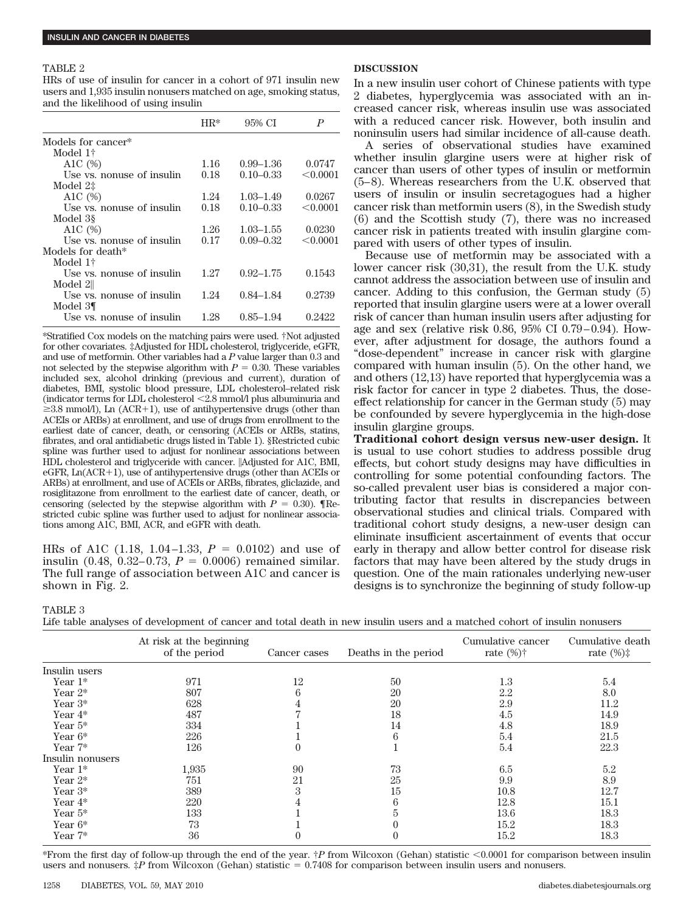#### TABLE 2

HRs of use of insulin for cancer in a cohort of 971 insulin new users and 1,935 insulin nonusers matched on age, smoking status, and the likelihood of using insulin

|                           | HR*  | 95% CI        | P        |
|---------------------------|------|---------------|----------|
| Models for cancer*        |      |               |          |
| Model 1†                  |      |               |          |
| A1C $(\%)$                | 1.16 | $0.99 - 1.36$ | 0.0747   |
| Use vs. nonuse of insulin | 0.18 | $0.10 - 0.33$ | < 0.0001 |
| Model $2\ddagger$         |      |               |          |
| A1C $(%)$                 | 1.24 | $1.03 - 1.49$ | 0.0267   |
| Use vs. nonuse of insulin | 0.18 | $0.10 - 0.33$ | < 0.0001 |
| Model 38                  |      |               |          |
| A1C $(%)$                 | 1.26 | $1.03 - 1.55$ | 0.0230   |
| Use vs. nonuse of insulin | 0.17 | $0.09 - 0.32$ | < 0.0001 |
| Models for death*         |      |               |          |
| Model 1†                  |      |               |          |
| Use vs. nonuse of insulin | 1.27 | $0.92 - 1.75$ | 0.1543   |
| Model 2                   |      |               |          |
| Use vs. nonuse of insulin | 1.24 | $0.84 - 1.84$ | 0.2739   |
| Model 3¶                  |      |               |          |
| Use vs. nonuse of insulin | 1.28 | $0.85 - 1.94$ | 0.2422   |
|                           |      |               |          |

\*Stratified Cox models on the matching pairs were used. †Not adjusted for other covariates. ‡Adjusted for HDL cholesterol, triglyceride, eGFR, and use of metformin. Other variables had a *P* value larger than 0.3 and not selected by the stepwise algorithm with  $P = 0.30$ . These variables included sex, alcohol drinking (previous and current), duration of diabetes, BMI, systolic blood pressure, LDL cholesterol–related risk (indicator terms for LDL cholesterol 2.8 mmol/l plus albuminuria and  $\geq$ 3.8 mmol/l), Ln (ACR+1), use of antihypertensive drugs (other than ACEIs or ARBs) at enrollment, and use of drugs from enrollment to the earliest date of cancer, death, or censoring (ACEIs or ARBs, statins, fibrates, and oral antidiabetic drugs listed in Table 1). §Restricted cubic spline was further used to adjust for nonlinear associations between HDL cholesterol and triglyceride with cancer. ||Adjusted for A1C, BMI,  $eGFR$ ,  $Ln(ACR+1)$ , use of antihypertensive drugs (other than ACEIs or ARBs) at enrollment, and use of ACEIs or ARBs, fibrates, gliclazide, and rosiglitazone from enrollment to the earliest date of cancer, death, or censoring (selected by the stepwise algorithm with  $P = 0.30$ ). Thestricted cubic spline was further used to adjust for nonlinear associations among A1C, BMI, ACR, and eGFR with death.

HRs of A1C  $(1.18, 1.04-1.33, P = 0.0102)$  and use of insulin  $(0.48, 0.32-0.73, P = 0.0006)$  remained similar. The full range of association between A1C and cancer is shown in Fig. 2.

# **DISCUSSION**

In a new insulin user cohort of Chinese patients with type 2 diabetes, hyperglycemia was associated with an increased cancer risk, whereas insulin use was associated with a reduced cancer risk. However, both insulin and noninsulin users had similar incidence of all-cause death.

A series of observational studies have examined whether insulin glargine users were at higher risk of cancer than users of other types of insulin or metformin (5– 8). Whereas researchers from the U.K. observed that users of insulin or insulin secretagogues had a higher cancer risk than metformin users (8), in the Swedish study (6) and the Scottish study (7), there was no increased cancer risk in patients treated with insulin glargine compared with users of other types of insulin.

Because use of metformin may be associated with a lower cancer risk (30,31), the result from the U.K. study cannot address the association between use of insulin and cancer. Adding to this confusion, the German study (5) reported that insulin glargine users were at a lower overall risk of cancer than human insulin users after adjusting for age and sex (relative risk 0.86, 95% CI 0.79-0.94). However, after adjustment for dosage, the authors found a "dose-dependent" increase in cancer risk with glargine compared with human insulin (5). On the other hand, we and others (12,13) have reported that hyperglycemia was a risk factor for cancer in type 2 diabetes. Thus, the doseeffect relationship for cancer in the German study (5) may be confounded by severe hyperglycemia in the high-dose insulin glargine groups.

**Traditional cohort design versus new-user design.** It is usual to use cohort studies to address possible drug effects, but cohort study designs may have difficulties in controlling for some potential confounding factors. The so-called prevalent user bias is considered a major contributing factor that results in discrepancies between observational studies and clinical trials. Compared with traditional cohort study designs, a new-user design can eliminate insufficient ascertainment of events that occur early in therapy and allow better control for disease risk factors that may have been altered by the study drugs in question. One of the main rationales underlying new-user designs is to synchronize the beginning of study follow-up

TABLE 3

|  |  |  |  | Life table analyses of development of cancer and total death in new insulin users and a matched cohort of insulin nonusers |
|--|--|--|--|----------------------------------------------------------------------------------------------------------------------------|
|--|--|--|--|----------------------------------------------------------------------------------------------------------------------------|

|                  | At risk at the beginning<br>of the period | Cancer cases | Deaths in the period | Cumulative cancer<br>rate $(\%)\dagger$ | Cumulative death<br>rate $(\%)\ddagger$ |
|------------------|-------------------------------------------|--------------|----------------------|-----------------------------------------|-----------------------------------------|
| Insulin users    |                                           |              |                      |                                         |                                         |
| Year $1*$        | 971                                       | 12           | 50                   | 1.3                                     | 5.4                                     |
| Year $2^*$       | 807                                       |              | 20                   | 2.2                                     | 8.0                                     |
| Year $3*$        | 628                                       |              | 20                   | 2.9                                     | 11.2                                    |
| Year $4*$        | 487                                       |              | 18                   | 4.5                                     | 14.9                                    |
| Year $5*$        | 334                                       |              | 14                   | 4.8                                     | 18.9                                    |
| Year $6*$        | 226                                       |              | 6                    | 5.4                                     | 21.5                                    |
| Year $7*$        | 126                                       |              |                      | 5.4                                     | 22.3                                    |
| Insulin nonusers |                                           |              |                      |                                         |                                         |
| Year $1*$        | 1,935                                     | 90           | 73                   | 6.5                                     | 5.2                                     |
| Year $2^*$       | 751                                       | 21           | 25                   | 9.9                                     | 8.9                                     |
| Year $3*$        | 389                                       | 3            | 15                   | 10.8                                    | 12.7                                    |
| Year $4*$        | 220                                       |              | h                    | 12.8                                    | 15.1                                    |
| Year $5*$        | 133                                       |              |                      | 13.6                                    | 18.3                                    |
| Year $6*$        | 73                                        |              |                      | 15.2                                    | 18.3                                    |
| Year $7*$        | 36                                        |              |                      | 15.2                                    | 18.3                                    |

\*From the first day of follow-up through the end of the year. †*P* from Wilcoxon (Gehan) statistic 0.0001 for comparison between insulin users and nonusers.  $P$  from Wilcoxon (Gehan) statistic  $= 0.7408$  for comparison between insulin users and nonusers.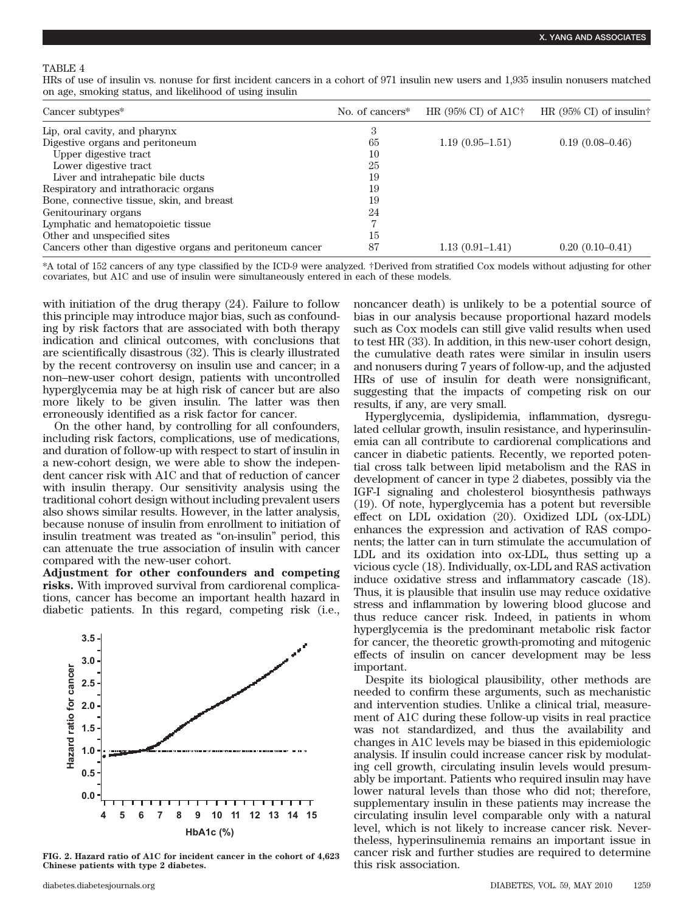### TABLE 4

HRs of use of insulin vs. nonuse for first incident cancers in a cohort of 971 insulin new users and 1,935 insulin nonusers matched on age, smoking status, and likelihood of using insulin

| Cancer subtypes <sup>*</sup>                              | No. of cancers <sup>*</sup> | HR $(95\% \text{ CI})$ of A1C <sup><math>\dagger</math></sup> | HR $(95\% \text{ CI})$ of insulin† |
|-----------------------------------------------------------|-----------------------------|---------------------------------------------------------------|------------------------------------|
| Lip, oral cavity, and pharynx                             | 3                           |                                                               |                                    |
| Digestive organs and peritoneum                           | 65                          | $1.19(0.95-1.51)$                                             | $0.19(0.08-0.46)$                  |
| Upper digestive tract                                     | 10                          |                                                               |                                    |
| Lower digestive tract                                     | 25                          |                                                               |                                    |
| Liver and intrahepatic bile ducts                         | 19                          |                                                               |                                    |
| Respiratory and intrathoracic organs                      | 19                          |                                                               |                                    |
| Bone, connective tissue, skin, and breast                 | 19                          |                                                               |                                    |
| Genitourinary organs                                      | 24                          |                                                               |                                    |
| Lymphatic and hematopoietic tissue                        |                             |                                                               |                                    |
| Other and unspecified sites                               | 15                          |                                                               |                                    |
| Cancers other than digestive organs and peritoneum cancer | 87                          | $1.13(0.91-1.41)$                                             | $0.20(0.10-0.41)$                  |

\*A total of 152 cancers of any type classified by the ICD-9 were analyzed. †Derived from stratified Cox models without adjusting for other covariates, but A1C and use of insulin were simultaneously entered in each of these models.

with initiation of the drug therapy (24). Failure to follow this principle may introduce major bias, such as confounding by risk factors that are associated with both therapy indication and clinical outcomes, with conclusions that are scientifically disastrous (32). This is clearly illustrated by the recent controversy on insulin use and cancer; in a non–new-user cohort design, patients with uncontrolled hyperglycemia may be at high risk of cancer but are also more likely to be given insulin. The latter was then erroneously identified as a risk factor for cancer.

On the other hand, by controlling for all confounders, including risk factors, complications, use of medications, and duration of follow-up with respect to start of insulin in a new-cohort design, we were able to show the independent cancer risk with A1C and that of reduction of cancer with insulin therapy. Our sensitivity analysis using the traditional cohort design without including prevalent users also shows similar results. However, in the latter analysis, because nonuse of insulin from enrollment to initiation of insulin treatment was treated as "on-insulin" period, this can attenuate the true association of insulin with cancer compared with the new-user cohort.

**Adjustment for other confounders and competing risks.** With improved survival from cardiorenal complications, cancer has become an important health hazard in diabetic patients. In this regard, competing risk (i.e.,



**FIG. 2. Hazard ratio of A1C for incident cancer in the cohort of 4,623 Chinese patients with type 2 diabetes.**

noncancer death) is unlikely to be a potential source of bias in our analysis because proportional hazard models such as Cox models can still give valid results when used to test HR (33). In addition, in this new-user cohort design, the cumulative death rates were similar in insulin users and nonusers during 7 years of follow-up, and the adjusted HRs of use of insulin for death were nonsignificant, suggesting that the impacts of competing risk on our results, if any, are very small.

Hyperglycemia, dyslipidemia, inflammation, dysregulated cellular growth, insulin resistance, and hyperinsulinemia can all contribute to cardiorenal complications and cancer in diabetic patients. Recently, we reported potential cross talk between lipid metabolism and the RAS in development of cancer in type 2 diabetes, possibly via the IGF-I signaling and cholesterol biosynthesis pathways (19). Of note, hyperglycemia has a potent but reversible effect on LDL oxidation (20). Oxidized LDL (ox-LDL) enhances the expression and activation of RAS components; the latter can in turn stimulate the accumulation of LDL and its oxidation into ox-LDL, thus setting up a vicious cycle (18). Individually, ox-LDL and RAS activation induce oxidative stress and inflammatory cascade (18). Thus, it is plausible that insulin use may reduce oxidative stress and inflammation by lowering blood glucose and thus reduce cancer risk. Indeed, in patients in whom hyperglycemia is the predominant metabolic risk factor for cancer, the theoretic growth-promoting and mitogenic effects of insulin on cancer development may be less important.

Despite its biological plausibility, other methods are needed to confirm these arguments, such as mechanistic and intervention studies. Unlike a clinical trial, measurement of A1C during these follow-up visits in real practice was not standardized, and thus the availability and changes in A1C levels may be biased in this epidemiologic analysis. If insulin could increase cancer risk by modulating cell growth, circulating insulin levels would presumably be important. Patients who required insulin may have lower natural levels than those who did not; therefore, supplementary insulin in these patients may increase the circulating insulin level comparable only with a natural level, which is not likely to increase cancer risk. Nevertheless, hyperinsulinemia remains an important issue in cancer risk and further studies are required to determine this risk association.